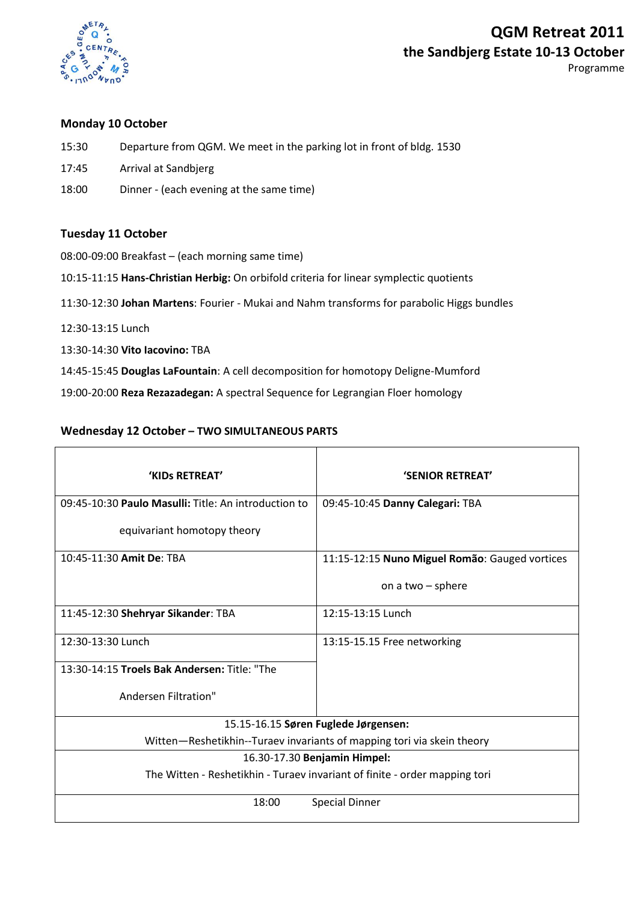

Programme

### **Monday 10 October**

- 15:30 Departure from QGM. We meet in the parking lot in front of bldg. 1530
- 17:45 Arrival at Sandbjerg
- 18:00 Dinner (each evening at the same time)

### **Tuesday 11 October**

08:00-09:00 Breakfast – (each morning same time)

10:15-11:15 **Hans-Christian Herbig:** On orbifold criteria for linear symplectic quotients

11:30-12:30 **Johan Martens**: Fourier - Mukai and Nahm transforms for parabolic Higgs bundles

- 12:30-13:15 Lunch
- 13:30-14:30 **Vito Iacovino:** TBA
- 14:45-15:45 **Douglas LaFountain**: A cell decomposition for homotopy Deligne-Mumford

19:00-20:00 **Reza Rezazadegan:** A spectral Sequence for Legrangian Floer homology

### **Wednesday 12 October – TWO SIMULTANEOUS PARTS**

| 'KIDS RETREAT'                                                             | <b>'SENIOR RETREAT'</b>                        |
|----------------------------------------------------------------------------|------------------------------------------------|
| 09:45-10:30 Paulo Masulli: Title: An introduction to                       | 09:45-10:45 Danny Calegari: TBA                |
| equivariant homotopy theory                                                |                                                |
| 10:45-11:30 Amit De: TBA                                                   | 11:15-12:15 Nuno Miguel Romão: Gauged vortices |
|                                                                            | on a two $-$ sphere                            |
| 11:45-12:30 Shehryar Sikander: TBA                                         | 12:15-13:15 Lunch                              |
| 12:30-13:30 Lunch                                                          | 13:15-15.15 Free networking                    |
| 13:30-14:15 Troels Bak Andersen: Title: "The                               |                                                |
| Andersen Filtration"                                                       |                                                |
| 15.15-16.15 Søren Fuglede Jørgensen:                                       |                                                |
| Witten-Reshetikhin--Turaev invariants of mapping tori via skein theory     |                                                |
| 16.30-17.30 Benjamin Himpel:                                               |                                                |
| The Witten - Reshetikhin - Turaev invariant of finite - order mapping tori |                                                |
| 18:00                                                                      | <b>Special Dinner</b>                          |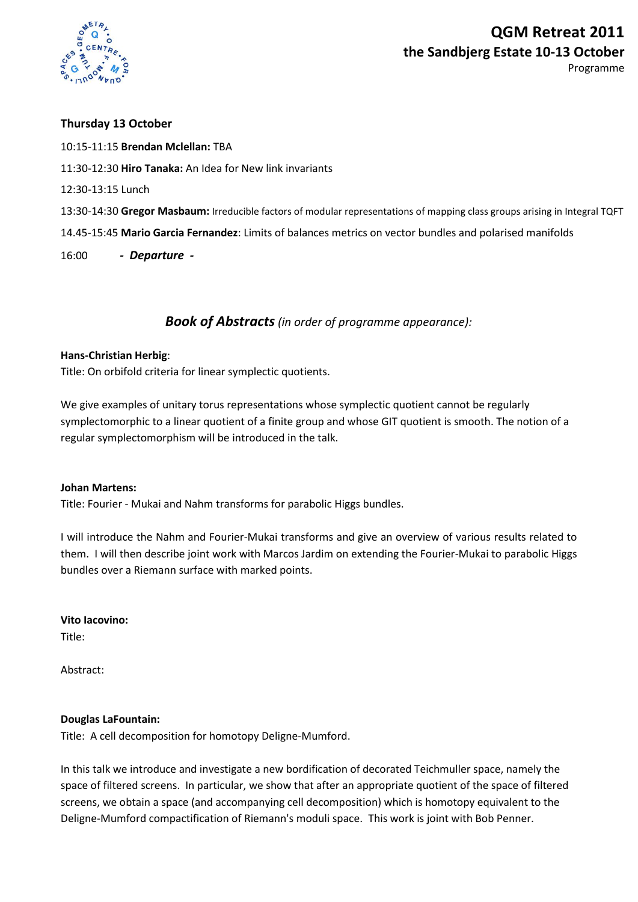

**Thursday 13 October**

10:15-11:15 **Brendan Mclellan:** TBA 11:30-12:30 **Hiro Tanaka:** An Idea for New link invariants 12:30-13:15 Lunch 13:30-14:30 **Gregor Masbaum:** Irreducible factors of modular representations of mapping class groups arising in Integral TQFT 14.45-15:45 **Mario Garcia Fernandez**: Limits of balances metrics on vector bundles and polarised manifolds 16:00 *- Departure -*

## *Book of Abstracts (in order of programme appearance):*

#### **Hans-Christian Herbig**:

Title: On orbifold criteria for linear symplectic quotients.

We give examples of unitary torus representations whose symplectic quotient cannot be regularly symplectomorphic to a linear quotient of a finite group and whose GIT quotient is smooth. The notion of a regular symplectomorphism will be introduced in the talk.

#### **Johan Martens:**

Title: Fourier - Mukai and Nahm transforms for parabolic Higgs bundles.

I will introduce the Nahm and Fourier-Mukai transforms and give an overview of various results related to them. I will then describe joint work with Marcos Jardim on extending the Fourier-Mukai to parabolic Higgs bundles over a Riemann surface with marked points.

**Vito Iacovino:** Title:

Abstract:

#### **Douglas LaFountain:**

Title: A cell decomposition for homotopy Deligne-Mumford.

In this talk we introduce and investigate a new bordification of decorated Teichmuller space, namely the space of filtered screens. In particular, we show that after an appropriate quotient of the space of filtered screens, we obtain a space (and accompanying cell decomposition) which is homotopy equivalent to the Deligne-Mumford compactification of Riemann's moduli space. This work is joint with Bob Penner.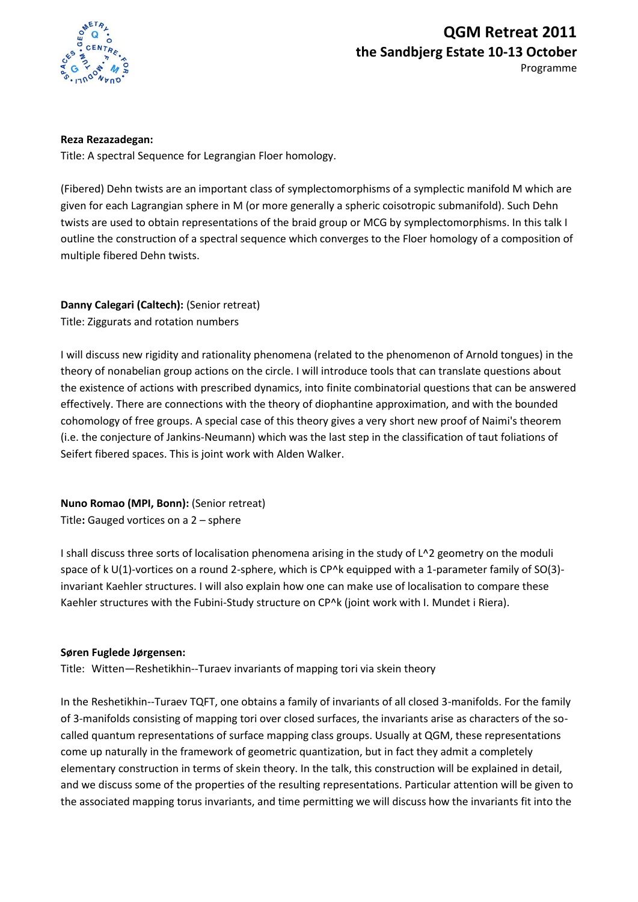

**Reza Rezazadegan:**

Title: A spectral Sequence for Legrangian Floer homology.

(Fibered) Dehn twists are an important class of symplectomorphisms of a symplectic manifold M which are given for each Lagrangian sphere in M (or more generally a spheric coisotropic submanifold). Such Dehn twists are used to obtain representations of the braid group or MCG by symplectomorphisms. In this talk I outline the construction of a spectral sequence which converges to the Floer homology of a composition of multiple fibered Dehn twists.

**Danny Calegari (Caltech):** (Senior retreat) Title: Ziggurats and rotation numbers

I will discuss new rigidity and rationality phenomena (related to the phenomenon of Arnold tongues) in the theory of nonabelian group actions on the circle. I will introduce tools that can translate questions about the existence of actions with prescribed dynamics, into finite combinatorial questions that can be answered effectively. There are connections with the theory of diophantine approximation, and with the bounded cohomology of free groups. A special case of this theory gives a very short new proof of Naimi's theorem (i.e. the conjecture of Jankins-Neumann) which was the last step in the classification of taut foliations of Seifert fibered spaces. This is joint work with Alden Walker.

**Nuno Romao (MPI, Bonn):** (Senior retreat) Title**:** Gauged vortices on a 2 – sphere

I shall discuss three sorts of localisation phenomena arising in the study of L^2 geometry on the moduli space of k U(1)-vortices on a round 2-sphere, which is CP^k equipped with a 1-parameter family of SO(3)invariant Kaehler structures. I will also explain how one can make use of localisation to compare these Kaehler structures with the Fubini-Study structure on CP^k (joint work with I. Mundet i Riera).

#### **Søren Fuglede Jørgensen:**

Title: Witten—Reshetikhin--Turaev invariants of mapping tori via skein theory

In the Reshetikhin--Turaev TQFT, one obtains a family of invariants of all closed 3-manifolds. For the family of 3-manifolds consisting of mapping tori over closed surfaces, the invariants arise as characters of the socalled quantum representations of surface mapping class groups. Usually at QGM, these representations come up naturally in the framework of geometric quantization, but in fact they admit a completely elementary construction in terms of skein theory. In the talk, this construction will be explained in detail, and we discuss some of the properties of the resulting representations. Particular attention will be given to the associated mapping torus invariants, and time permitting we will discuss how the invariants fit into the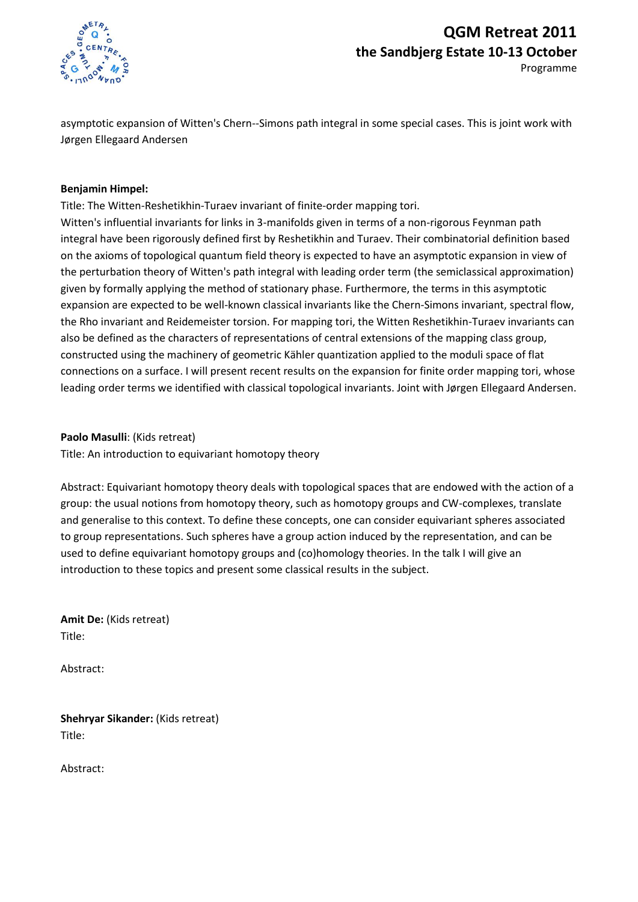

asymptotic expansion of Witten's Chern--Simons path integral in some special cases. This is joint work with Jørgen Ellegaard Andersen

#### **Benjamin Himpel:**

Title: The Witten-Reshetikhin-Turaev invariant of finite-order mapping tori. Witten's influential invariants for links in 3-manifolds given in terms of a non-rigorous Feynman path integral have been rigorously defined first by Reshetikhin and Turaev. Their combinatorial definition based on the axioms of topological quantum field theory is expected to have an asymptotic expansion in view of the perturbation theory of Witten's path integral with leading order term (the semiclassical approximation) given by formally applying the method of stationary phase. Furthermore, the terms in this asymptotic expansion are expected to be well-known classical invariants like the Chern-Simons invariant, spectral flow, the Rho invariant and Reidemeister torsion. For mapping tori, the Witten Reshetikhin-Turaev invariants can also be defined as the characters of representations of central extensions of the mapping class group, constructed using the machinery of geometric Kähler quantization applied to the moduli space of flat connections on a surface. I will present recent results on the expansion for finite order mapping tori, whose leading order terms we identified with classical topological invariants. Joint with Jørgen Ellegaard Andersen.

**Paolo Masulli**: (Kids retreat)

Title: An introduction to equivariant homotopy theory

Abstract: Equivariant homotopy theory deals with topological spaces that are endowed with the action of a group: the usual notions from homotopy theory, such as homotopy groups and CW-complexes, translate and generalise to this context. To define these concepts, one can consider equivariant spheres associated to group representations. Such spheres have a group action induced by the representation, and can be used to define equivariant homotopy groups and (co)homology theories. In the talk I will give an introduction to these topics and present some classical results in the subject.

**Amit De:** (Kids retreat) Title:

Abstract:

**Shehryar Sikander:** (Kids retreat) Title:

Abstract: